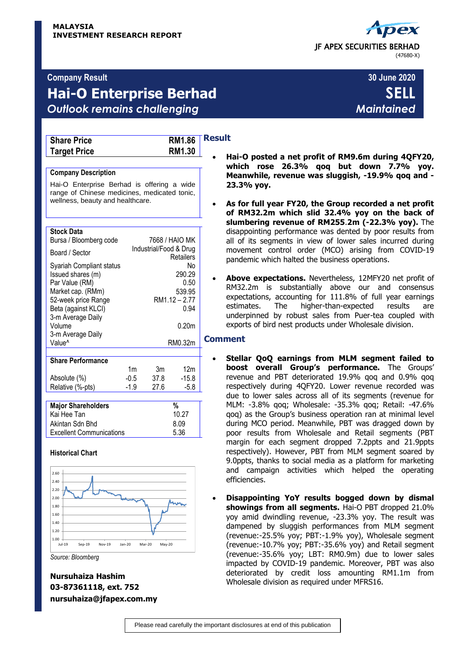# JF APEX SECURITIES BERHAD (47680-X)

# **Company Result 30 June 2020**

# **Hai-O Enterprise Berhad SELL** *Outlook remains challenging Maintained*

| <b>Share Price</b>  |  |
|---------------------|--|
| <b>Target Price</b> |  |

**Result Share Price RM1.86 RM1.30** 

### **Company Description**

Hai-O Enterprise Berhad is offering a wide range of Chinese medicines, medicated tonic, wellness, beauty and healthcare.

| <b>Stock Data</b><br>Bursa / Bloomberg code                                                                                                             |        | 7668 / HAIO MK         |                                                         |   |
|---------------------------------------------------------------------------------------------------------------------------------------------------------|--------|------------------------|---------------------------------------------------------|---|
| Board / Sector                                                                                                                                          |        | Industrial/Food & Drug | Retailers                                               |   |
| Syariah Compliant status<br>Issued shares (m)<br>Par Value (RM)<br>Market cap. (RMm)<br>52-week price Range<br>Beta (against KLCI)<br>3-m Average Daily |        |                        | No<br>290.29<br>0.50<br>539.95<br>RM1.12 - 2.77<br>0.94 |   |
| Volume                                                                                                                                                  |        |                        | 0.20 <sub>m</sub>                                       |   |
| 3-m Average Daily<br>Value <sup>^</sup>                                                                                                                 |        |                        | RM0.32m                                                 | ٢ |
| <b>Share Performance</b>                                                                                                                                |        |                        |                                                         |   |
|                                                                                                                                                         | 1m     | 3m                     | 12m                                                     |   |
| Absolute (%)                                                                                                                                            | $-0.5$ | 37.8                   | $-15.8$                                                 |   |
| Relative (%-pts)                                                                                                                                        | -1.9   | 27.6                   | $-5.8$                                                  |   |
|                                                                                                                                                         |        |                        |                                                         |   |
| <b>Maior Shareholders</b>                                                                                                                               |        |                        | %                                                       |   |

| <b>Major Shareholders</b>       | %     |
|---------------------------------|-------|
| Kai Hee Tan                     | 10.27 |
| Akintan Sdn Bhd                 | 8.09  |
| <b>Excellent Communications</b> | 5.36  |
|                                 |       |

## **Historical Chart**



*Source: Bloomberg*

# **Nursuhaiza Hashim 03-87361118, ext. 752 nursuhaiza@jfapex.com.my**

### **Hai-O posted a net profit of RM9.6m during 4QFY20, which rose 26.3% qoq but down 7.7% yoy. Meanwhile, revenue was sluggish, -19.9% qoq and - 23.3% yoy.**

- **As for full year FY20, the Group recorded a net profit of RM32.2m which slid 32.4% yoy on the back of slumbering revenue of RM255**.**2m (-22.3% yoy).** The disappointing performance was dented by poor results from all of its segments in view of lower sales incurred during movement control order (MCO) arising from COVID-19 pandemic which halted the business operations.
- **Above expectations.** Nevertheless, 12MFY20 net profit of RM32.2m is substantially above our and consensus expectations, accounting for 111.8% of full year earnings estimates. The higher-than-expected results are underpinned by robust sales from Puer-tea coupled with exports of bird nest products under Wholesale division.

## **Comment**

- **Stellar QoQ earnings from MLM segment failed to boost overall Group's performance.** The Groups' revenue and PBT deteriorated 19.9% qoq and 0.9% qoq respectively during 4QFY20. Lower revenue recorded was due to lower sales across all of its segments (revenue for MLM: -3.8% qoq; Wholesale: -35.3% qoq; Retail: -47.6% qoq) as the Group's business operation ran at minimal level during MCO period. Meanwhile, PBT was dragged down by poor results from Wholesale and Retail segments (PBT margin for each segment dropped 7.2ppts and 21.9ppts respectively). However, PBT from MLM segment soared by 9.0ppts, thanks to social media as a platform for marketing and campaign activities which helped the operating efficiencies.
- **Disappointing YoY results bogged down by dismal showings from all segments.** Hai-O PBT dropped 21.0% yoy amid dwindling revenue, -23.3% yoy. The result was dampened by sluggish performances from MLM segment (revenue:-25.5% yoy; PBT:-1.9% yoy), Wholesale segment (revenue:-10.7% yoy; PBT:-35.6% yoy) and Retail segment (revenue:-35.6% yoy; LBT: RM0.9m) due to lower sales impacted by COVID-19 pandemic. Moreover, PBT was also deteriorated by credit loss amounting RM1.1m from Wholesale division as required under MFRS16.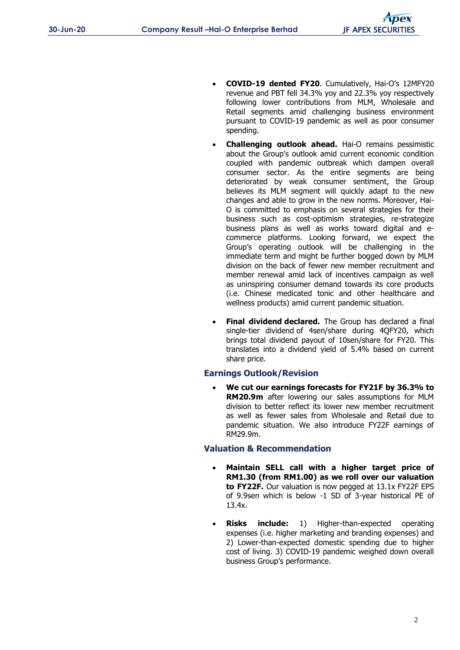- **COVID-19 dented FY20**. Cumulatively, Hai-O's 12MFY20 revenue and PBT fell 34.3% yoy and 22.3% yoy respectively following lower contributions from MLM, Wholesale and Retail segments amid challenging business environment pursuant to COVID-19 pandemic as well as poor consumer spending.
- **Challenging outlook ahead.** Hai-O remains pessimistic about the Group's outlook amid current economic condition coupled with pandemic outbreak which dampen overall consumer sector. As the entire segments are being deteriorated by weak consumer sentiment, the Group believes its MLM segment will quickly adapt to the new changes and able to grow in the new norms. Moreover, Hai-O is committed to emphasis on several strategies for their business such as cost-optimism strategies, re-strategize business plans as well as works toward digital and ecommerce platforms. Looking forward, we expect the Group's operating outlook will be challenging in the immediate term and might be further bogged down by MLM division on the back of fewer new member recruitment and member renewal amid lack of incentives campaign as well as uninspiring consumer demand towards its core products (i.e. Chinese medicated tonic and other healthcare and wellness products) amid current pandemic situation.
- **Final dividend declared.** The Group has declared a final single-tier dividend of 4sen/share during 4QFY20, which brings total dividend payout of 10sen/share for FY20. This translates into a dividend yield of 5.4% based on current share price.

## **Earnings Outlook/Revision**

 **We cut our earnings forecasts for FY21F by 36.3% to RM20.9m** after lowering our sales assumptions for MLM division to better reflect its lower new member recruitment as well as fewer sales from Wholesale and Retail due to pandemic situation. We also introduce FY22F earnings of RM29.9m.

## **Valuation & Recommendation**

- **Maintain SELL call with a higher target price of RM1.30 (from RM1.00) as we roll over our valuation to FY22F.** Our valuation is now pegged at 13.1x FY22F EPS of 9.9sen which is below -1 SD of 3-year historical PE of 13.4x.
- **Risks include:** 1) Higher-than-expected operating expenses (i.e. higher marketing and branding expenses) and 2) Lower-than-expected domestic spending due to higher cost of living. 3) COVID-19 pandemic weighed down overall business Group's performance.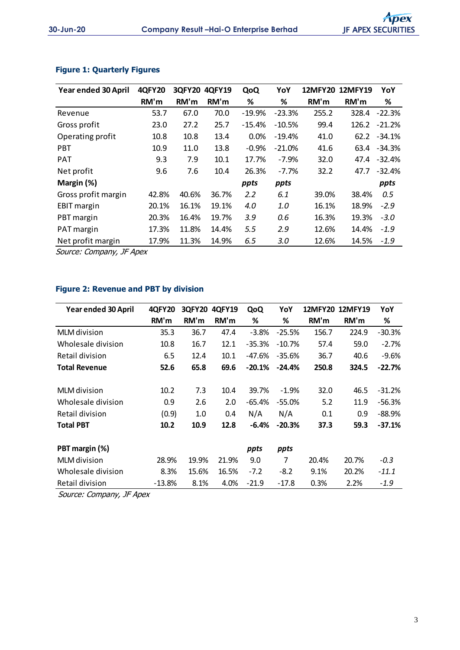| Year ended 30 April | <b>4QFY20</b> | <b>3QFY20</b> | <b>4QFY19</b> | QoQ       | YoY      |       | 12MFY20 12MFY19 | YoY          |
|---------------------|---------------|---------------|---------------|-----------|----------|-------|-----------------|--------------|
|                     | RM'm          | RM'm          | RM'm          | %         | %        | RM'm  | RM'm            | %            |
| Revenue             | 53.7          | 67.0          | 70.0          | $-19.9\%$ | $-23.3%$ | 255.2 | 328.4           | $-22.3%$     |
| Gross profit        | 23.0          | 27.2          | 25.7          | $-15.4%$  | $-10.5%$ | 99.4  | 126.2           | $-21.2%$     |
| Operating profit    | 10.8          | 10.8          | 13.4          | 0.0%      | $-19.4%$ | 41.0  | 62.2            | -34.1%       |
| <b>PBT</b>          | 10.9          | 11.0          | 13.8          | $-0.9%$   | $-21.0%$ | 41.6  |                 | 63.4 - 34.3% |
| <b>PAT</b>          | 9.3           | 7.9           | 10.1          | 17.7%     | $-7.9%$  | 32.0  | 47.4            | $-32.4%$     |
| Net profit          | 9.6           | 7.6           | 10.4          | 26.3%     | $-7.7%$  | 32.2  | 47.7            | $-32.4%$     |
| Margin (%)          |               |               |               | ppts      | ppts     |       |                 | ppts         |
| Gross profit margin | 42.8%         | 40.6%         | 36.7%         | 2.2       | 6.1      | 39.0% | 38.4%           | 0.5          |
| <b>EBIT</b> margin  | 20.1%         | 16.1%         | 19.1%         | 4.0       | 1.0      | 16.1% | 18.9%           | $-2.9$       |
| PBT margin          | 20.3%         | 16.4%         | 19.7%         | 3.9       | 0.6      | 16.3% | 19.3%           | $-3.0$       |
| PAT margin          | 17.3%         | 11.8%         | 14.4%         | 5.5       | 2.9      | 12.6% | 14.4%           | $-1.9$       |
| Net profit margin   | 17.9%         | 11.3%         | 14.9%         | 6.5       | 3.0      | 12.6% | 14.5%           | $-1.9$       |

# **Figure 1: Quarterly Figures**

Source: Company, JF Apex

# **Figure 2: Revenue and PBT by division**

| Year ended 30 April  | <b>4QFY20</b> | <b>3QFY20</b> | 4QFY19 | QoQ      | YoY      | <b>12MFY20</b> | <b>12MFY19</b> | YoY      |
|----------------------|---------------|---------------|--------|----------|----------|----------------|----------------|----------|
|                      | RM'm          | RM'm          | RM'm   | ℅        | %        | RM'm           | RM'm           | %        |
| <b>MLM</b> division  | 35.3          | 36.7          | 47.4   | $-3.8%$  | $-25.5%$ | 156.7          | 224.9          | $-30.3%$ |
| Wholesale division   | 10.8          | 16.7          | 12.1   | $-35.3%$ | $-10.7%$ | 57.4           | 59.0           | $-2.7%$  |
| Retail division      | 6.5           | 12.4          | 10.1   | -47.6%   | $-35.6%$ | 36.7           | 40.6           | $-9.6%$  |
| <b>Total Revenue</b> | 52.6          | 65.8          | 69.6   | $-20.1%$ | $-24.4%$ | 250.8          | 324.5          | $-22.7%$ |
| MLM division         | 10.2          | 7.3           | 10.4   | 39.7%    | $-1.9%$  | 32.0           | 46.5           | $-31.2%$ |
| Wholesale division   | 0.9           | 2.6           | 2.0    | $-65.4%$ | $-55.0%$ | 5.2            | 11.9           | $-56.3%$ |
| Retail division      | (0.9)         | 1.0           | 0.4    | N/A      | N/A      | 0.1            | 0.9            | $-88.9%$ |
| <b>Total PBT</b>     | 10.2          | 10.9          | 12.8   | $-6.4%$  | $-20.3%$ | 37.3           | 59.3           | $-37.1%$ |
| PBT margin (%)       |               |               |        | ppts     | ppts     |                |                |          |
| MLM division         | 28.9%         | 19.9%         | 21.9%  | 9.0      | 7        | 20.4%          | 20.7%          | $-0.3$   |
| Wholesale division   | 8.3%          | 15.6%         | 16.5%  | $-7.2$   | $-8.2$   | 9.1%           | 20.2%          | $-11.1$  |
| Retail division      | $-13.8%$      | 8.1%          | 4.0%   | $-21.9$  | $-17.8$  | 0.3%           | 2.2%           | $-1.9$   |

Source: Company, JF Apex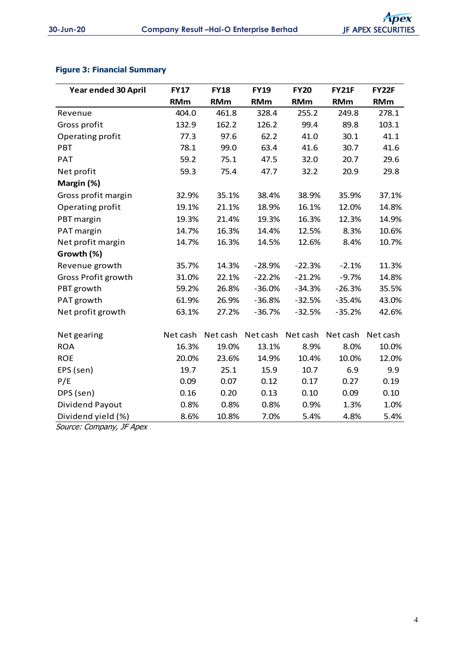# **Figure 3: Financial Summary**

| Year ended 30 April | <b>FY17</b> | <b>FY18</b> | <b>FY19</b> | <b>FY20</b> | <b>FY21F</b> | <b>FY22F</b> |
|---------------------|-------------|-------------|-------------|-------------|--------------|--------------|
|                     | <b>RMm</b>  | <b>RMm</b>  | <b>RMm</b>  | <b>RMm</b>  | <b>RMm</b>   | <b>RMm</b>   |
| Revenue             | 404.0       | 461.8       | 328.4       | 255.2       | 249.8        | 278.1        |
| Gross profit        | 132.9       | 162.2       | 126.2       | 99.4        | 89.8         | 103.1        |
| Operating profit    | 77.3        | 97.6        | 62.2        | 41.0        | 30.1         | 41.1         |
| <b>PBT</b>          | 78.1        | 99.0        | 63.4        | 41.6        | 30.7         | 41.6         |
| <b>PAT</b>          | 59.2        | 75.1        | 47.5        | 32.0        | 20.7         | 29.6         |
| Net profit          | 59.3        | 75.4        | 47.7        | 32.2        | 20.9         | 29.8         |
| Margin (%)          |             |             |             |             |              |              |
| Gross profit margin | 32.9%       | 35.1%       | 38.4%       | 38.9%       | 35.9%        | 37.1%        |
| Operating profit    | 19.1%       | 21.1%       | 18.9%       | 16.1%       | 12.0%        | 14.8%        |
| PBT margin          | 19.3%       | 21.4%       | 19.3%       | 16.3%       | 12.3%        | 14.9%        |
| PAT margin          | 14.7%       | 16.3%       | 14.4%       | 12.5%       | 8.3%         | 10.6%        |
| Net profit margin   | 14.7%       | 16.3%       | 14.5%       | 12.6%       | 8.4%         | 10.7%        |
| Growth (%)          |             |             |             |             |              |              |
| Revenue growth      | 35.7%       | 14.3%       | $-28.9%$    | $-22.3%$    | $-2.1%$      | 11.3%        |
| Gross Profit growth | 31.0%       | 22.1%       | $-22.2%$    | $-21.2%$    | $-9.7%$      | 14.8%        |
| PBT growth          | 59.2%       | 26.8%       | $-36.0%$    | $-34.3%$    | $-26.3%$     | 35.5%        |
| PAT growth          | 61.9%       | 26.9%       | $-36.8%$    | $-32.5%$    | $-35.4%$     | 43.0%        |
| Net profit growth   | 63.1%       | 27.2%       | $-36.7%$    | $-32.5%$    | $-35.2%$     | 42.6%        |
|                     |             |             |             |             |              |              |
| Net gearing         | Net cash    | Net cash    | Net cash    | Net cash    | Net cash     | Net cash     |
| <b>ROA</b>          | 16.3%       | 19.0%       | 13.1%       | 8.9%        | 8.0%         | 10.0%        |
| <b>ROE</b>          | 20.0%       | 23.6%       | 14.9%       | 10.4%       | 10.0%        | 12.0%        |
| EPS (sen)           | 19.7        | 25.1        | 15.9        | 10.7        | 6.9          | 9.9          |
| P/E                 | 0.09        | 0.07        | 0.12        | 0.17        | 0.27         | 0.19         |
| DPS (sen)           | 0.16        | 0.20        | 0.13        | 0.10        | 0.09         | 0.10         |
| Dividend Payout     | 0.8%        | 0.8%        | 0.8%        | 0.9%        | 1.3%         | 1.0%         |
| Dividend yield (%)  | 8.6%        | 10.8%       | 7.0%        | 5.4%        | 4.8%         | 5.4%         |

Source: Company, JF Apex